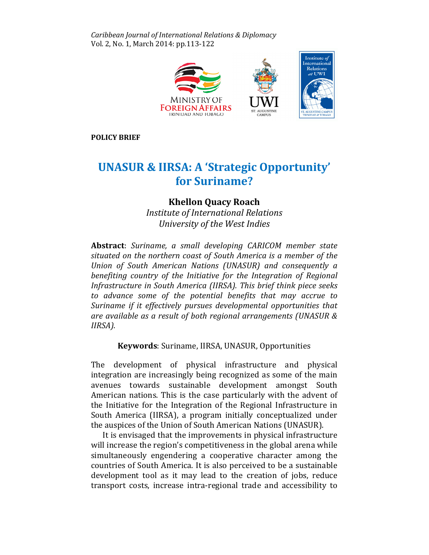Caribbean Journal of International Relations & Diplomacy Vol. 2, No. 1, March 2014: pp.113-122



POLICY BRIEF

# UNASUR & IIRSA: A 'Strategic Opportunity' for Suriname?

# Khellon Quacy Roach

Institute of International Relations University of the West Indies

Abstract: Suriname, a small developing CARICOM member state situated on the northern coast of South America is a member of the Union of South American Nations (UNASUR) and consequently a benefiting country of the Initiative for the Integration of Regional Infrastructure in South America (IIRSA). This brief think piece seeks to advance some of the potential benefits that may accrue to Suriname if it effectively pursues developmental opportunities that are available as a result of both regional arrangements (UNASUR & IIRSA).

Keywords: Suriname, IIRSA, UNASUR, Opportunities

The development of physical infrastructure and physical integration are increasingly being recognized as some of the main avenues towards sustainable development amongst South American nations. This is the case particularly with the advent of the Initiative for the Integration of the Regional Infrastructure in South America (IIRSA), a program initially conceptualized under the auspices of the Union of South American Nations (UNASUR).

It is envisaged that the improvements in physical infrastructure will increase the region's competitiveness in the global arena while simultaneously engendering a cooperative character among the countries of South America. It is also perceived to be a sustainable development tool as it may lead to the creation of jobs, reduce transport costs, increase intra-regional trade and accessibility to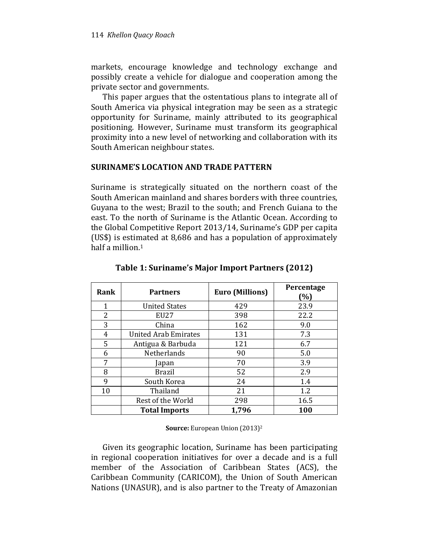markets, encourage knowledge and technology exchange and possibly create a vehicle for dialogue and cooperation among the private sector and governments.

This paper argues that the ostentatious plans to integrate all of South America via physical integration may be seen as a strategic opportunity for Suriname, mainly attributed to its geographical positioning. However, Suriname must transform its geographical proximity into a new level of networking and collaboration with its South American neighbour states.

## SURINAME'S LOCATION AND TRADE PATTERN

Suriname is strategically situated on the northern coast of the South American mainland and shares borders with three countries, Guyana to the west; Brazil to the south; and French Guiana to the east. To the north of Suriname is the Atlantic Ocean. According to the Global Competitive Report 2013/14, Suriname's GDP per capita (US\$) is estimated at 8,686 and has a population of approximately half a million.<sup>1</sup>

| Rank | <b>Partners</b>             | <b>Euro (Millions)</b> | Percentage<br>(%) |
|------|-----------------------------|------------------------|-------------------|
| 1    | <b>United States</b>        | 429                    | 23.9              |
| 2    | EU27                        | 398                    | 22.2              |
| 3    | China                       | 162                    | 9.0               |
| 4    | <b>United Arab Emirates</b> | 131                    | 7.3               |
| 5    | Antigua & Barbuda           | 121                    | 6.7               |
| 6    | Netherlands                 | 90                     | 5.0               |
| 7    | Japan                       | 70                     | 3.9               |
| 8    | <b>Brazil</b>               | 52                     | 2.9               |
| 9    | South Korea                 | 24                     | 1.4               |
| 10   | Thailand                    | 21                     | 1.2               |
|      | Rest of the World           | 298                    | 16.5              |
|      | <b>Total Imports</b>        | 1,796                  | 100               |

Table 1: Suriname's Major Import Partners (2012)

#### Source: European Union (2013)<sup>2</sup>

Given its geographic location, Suriname has been participating in regional cooperation initiatives for over a decade and is a full member of the Association of Caribbean States (ACS), the Caribbean Community (CARICOM), the Union of South American Nations (UNASUR), and is also partner to the Treaty of Amazonian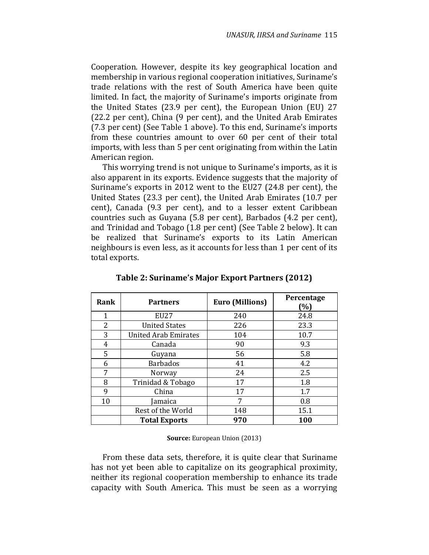Cooperation. However, despite its key geographical location and membership in various regional cooperation initiatives, Suriname's trade relations with the rest of South America have been quite limited. In fact, the majority of Suriname's imports originate from the United States (23.9 per cent), the European Union (EU) 27 (22.2 per cent), China (9 per cent), and the United Arab Emirates (7.3 per cent) (See Table 1 above). To this end, Suriname's imports from these countries amount to over 60 per cent of their total imports, with less than 5 per cent originating from within the Latin American region.

This worrying trend is not unique to Suriname's imports, as it is also apparent in its exports. Evidence suggests that the majority of Suriname's exports in 2012 went to the EU27 (24.8 per cent), the United States (23.3 per cent), the United Arab Emirates (10.7 per cent), Canada (9.3 per cent), and to a lesser extent Caribbean countries such as Guyana (5.8 per cent), Barbados (4.2 per cent), and Trinidad and Tobago (1.8 per cent) (See Table 2 below). It can be realized that Suriname's exports to its Latin American neighbours is even less, as it accounts for less than 1 per cent of its total exports.

| Rank | <b>Partners</b>             | <b>Euro (Millions)</b> | Percentage<br>(%) |
|------|-----------------------------|------------------------|-------------------|
| 1    | EU27                        | 240                    | 24.8              |
| 2    | <b>United States</b>        | 226                    | 23.3              |
| 3    | <b>United Arab Emirates</b> | 104                    | 10.7              |
| 4    | Canada                      | 90                     | 9.3               |
| 5    | Guyana                      | 56                     | 5.8               |
| 6    | <b>Barbados</b>             | 41                     | 4.2               |
| 7    | Norway                      | 24                     | 2.5               |
| 8    | Trinidad & Tobago           | 17                     | 1.8               |
| 9    | China                       | 17                     | 1.7               |
| 10   | amaica                      |                        | 0.8               |
|      | Rest of the World           | 148                    | 15.1              |
|      | <b>Total Exports</b>        | 970                    | 100               |

Table 2: Suriname's Major Export Partners (2012)

Source: European Union (2013)

From these data sets, therefore, it is quite clear that Suriname has not yet been able to capitalize on its geographical proximity, neither its regional cooperation membership to enhance its trade capacity with South America. This must be seen as a worrying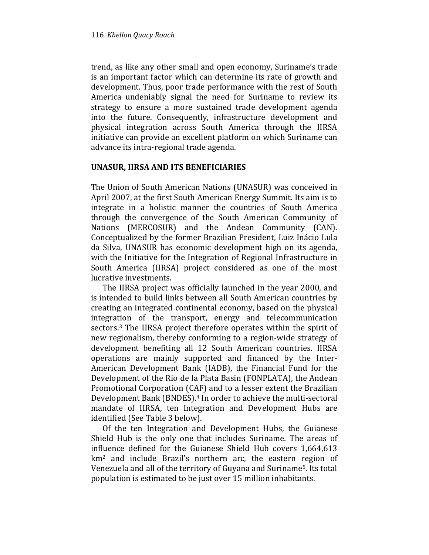trend, as like any other small and open economy, Suriname's trade is an important factor which can determine its rate of growth and development. Thus, poor trade performance with the rest of South America undeniably signal the need for Suriname to review its strategy to ensure a more sustained trade development agenda into the future. Consequently, infrastructure development and physical integration across South America through the IIRSA initiative can provide an excellent platform on which Suriname can advance its intra-regional trade agenda.

## UNASUR, IIRSA AND ITS BENEFICIARIES

The Union of South American Nations (UNASUR) was conceived in April 2007, at the first South American Energy Summit. Its aim is to integrate in a holistic manner the countries of South America through the convergence of the South American Community of Nations (MERCOSUR) and the Andean Community (CAN). Conceptualized by the former Brazilian President, Luiz Inácio Lula da Silva, UNASUR has economic development high on its agenda, with the Initiative for the Integration of Regional Infrastructure in South America (IIRSA) project considered as one of the most lucrative investments.

The IIRSA project was officially launched in the year 2000, and is intended to build links between all South American countries by creating an integrated continental economy, based on the physical integration of the transport, energy and telecommunication sectors.3 The IIRSA project therefore operates within the spirit of new regionalism, thereby conforming to a region-wide strategy of development benefiting all 12 South American countries. IIRSA operations are mainly supported and financed by the Inter-American Development Bank (IADB), the Financial Fund for the Development of the Rio de la Plata Basin (FONPLATA), the Andean Promotional Corporation (CAF) and to a lesser extent the Brazilian Development Bank (BNDES).4 In order to achieve the multi-sectoral mandate of IIRSA, ten Integration and Development Hubs are identified (See Table 3 below).

Of the ten Integration and Development Hubs, the Guianese Shield Hub is the only one that includes Suriname. The areas of influence defined for the Guianese Shield Hub covers 1,664,613 km2 and include Brazil's northern arc, the eastern region of Venezuela and all of the territory of Guyana and Suriname5. Its total population is estimated to be just over 15 million inhabitants.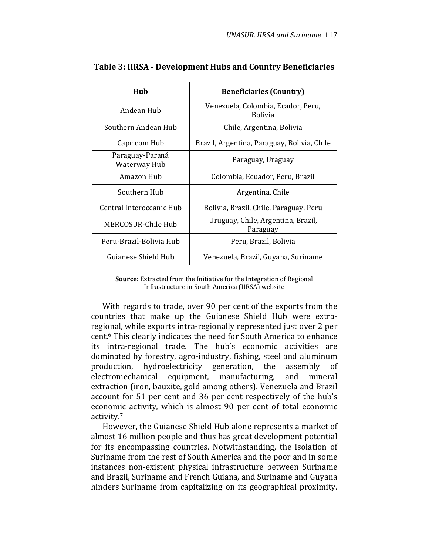| Hub                             | <b>Beneficiaries (Country)</b>                       |  |
|---------------------------------|------------------------------------------------------|--|
| Andean Hub                      | Venezuela, Colombia, Ecador, Peru,<br><b>Bolivia</b> |  |
| Southern Andean Hub             | Chile, Argentina, Bolivia                            |  |
| Capricom Hub                    | Brazil, Argentina, Paraguay, Bolivia, Chile          |  |
| Paraguay-Paraná<br>Waterway Hub | Paraguay, Uraguay                                    |  |
| Amazon Hub                      | Colombia, Ecuador, Peru, Brazil                      |  |
| Southern Hub                    | Argentina, Chile                                     |  |
| Central Interoceanic Hub        | Bolivia, Brazil, Chile, Paraguay, Peru               |  |
| MERCOSUR-Chile Hub              | Uruguay, Chile, Argentina, Brazil,<br>Paraguay       |  |
| Peru-Brazil-Bolivia Hub         | Peru, Brazil, Bolivia                                |  |
| Guianese Shield Hub             | Venezuela, Brazil, Guyana, Suriname                  |  |

## Table 3: IIRSA - Development Hubs and Country Beneficiaries

Source: Extracted from the Initiative for the Integration of Regional Infrastructure in South America (IIRSA) website

With regards to trade, over 90 per cent of the exports from the countries that make up the Guianese Shield Hub were extraregional, while exports intra-regionally represented just over 2 per cent.6 This clearly indicates the need for South America to enhance its intra-regional trade. The hub's economic activities are dominated by forestry, agro-industry, fishing, steel and aluminum production, hydroelectricity generation, the assembly of electromechanical equipment, manufacturing, and mineral extraction (iron, bauxite, gold among others). Venezuela and Brazil account for 51 per cent and 36 per cent respectively of the hub's economic activity, which is almost 90 per cent of total economic activity.<sup>7</sup>

However, the Guianese Shield Hub alone represents a market of almost 16 million people and thus has great development potential for its encompassing countries. Notwithstanding, the isolation of Suriname from the rest of South America and the poor and in some instances non-existent physical infrastructure between Suriname and Brazil, Suriname and French Guiana, and Suriname and Guyana hinders Suriname from capitalizing on its geographical proximity.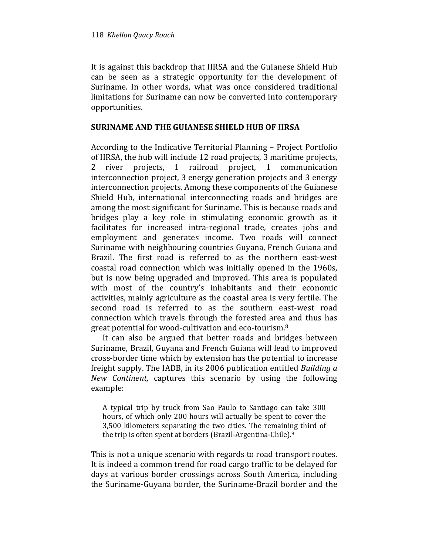It is against this backdrop that IIRSA and the Guianese Shield Hub can be seen as a strategic opportunity for the development of Suriname. In other words, what was once considered traditional limitations for Suriname can now be converted into contemporary opportunities.

## SURINAME AND THE GUIANESE SHIELD HUB OF IIRSA

According to the Indicative Territorial Planning – Project Portfolio of IIRSA, the hub will include 12 road projects, 3 maritime projects, 2 river projects, 1 railroad project, 1 communication interconnection project, 3 energy generation projects and 3 energy interconnection projects. Among these components of the Guianese Shield Hub, international interconnecting roads and bridges are among the most significant for Suriname. This is because roads and bridges play a key role in stimulating economic growth as it facilitates for increased intra-regional trade, creates jobs and employment and generates income. Two roads will connect Suriname with neighbouring countries Guyana, French Guiana and Brazil. The first road is referred to as the northern east-west coastal road connection which was initially opened in the 1960s, but is now being upgraded and improved. This area is populated with most of the country's inhabitants and their economic activities, mainly agriculture as the coastal area is very fertile. The second road is referred to as the southern east-west road connection which travels through the forested area and thus has great potential for wood-cultivation and eco-tourism.<sup>8</sup>

It can also be argued that better roads and bridges between Suriname, Brazil, Guyana and French Guiana will lead to improved cross-border time which by extension has the potential to increase freight supply. The IADB, in its 2006 publication entitled Building a New Continent, captures this scenario by using the following example:

A typical trip by truck from Sao Paulo to Santiago can take 300 hours, of which only 200 hours will actually be spent to cover the 3,500 kilometers separating the two cities. The remaining third of the trip is often spent at borders (Brazil-Argentina-Chile).<sup>9</sup>

This is not a unique scenario with regards to road transport routes. It is indeed a common trend for road cargo traffic to be delayed for days at various border crossings across South America, including the Suriname-Guyana border, the Suriname-Brazil border and the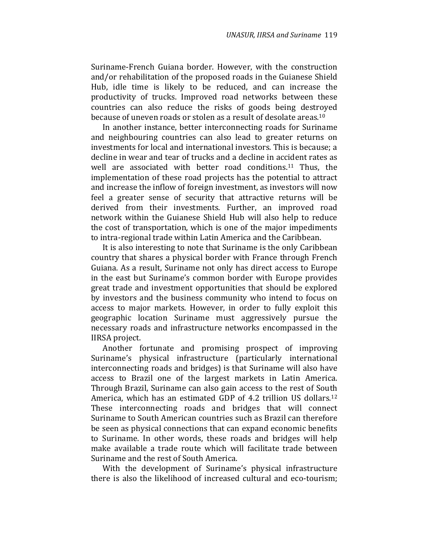Suriname-French Guiana border. However, with the construction and/or rehabilitation of the proposed roads in the Guianese Shield Hub, idle time is likely to be reduced, and can increase the productivity of trucks. Improved road networks between these countries can also reduce the risks of goods being destroyed because of uneven roads or stolen as a result of desolate areas.<sup>10</sup>

In another instance, better interconnecting roads for Suriname and neighbouring countries can also lead to greater returns on investments for local and international investors. This is because; a decline in wear and tear of trucks and a decline in accident rates as well are associated with better road conditions.11 Thus, the implementation of these road projects has the potential to attract and increase the inflow of foreign investment, as investors will now feel a greater sense of security that attractive returns will be derived from their investments. Further, an improved road network within the Guianese Shield Hub will also help to reduce the cost of transportation, which is one of the major impediments to intra-regional trade within Latin America and the Caribbean.

It is also interesting to note that Suriname is the only Caribbean country that shares a physical border with France through French Guiana. As a result, Suriname not only has direct access to Europe in the east but Suriname's common border with Europe provides great trade and investment opportunities that should be explored by investors and the business community who intend to focus on access to major markets. However, in order to fully exploit this geographic location Suriname must aggressively pursue the necessary roads and infrastructure networks encompassed in the IIRSA project.

Another fortunate and promising prospect of improving Suriname's physical infrastructure (particularly international interconnecting roads and bridges) is that Suriname will also have access to Brazil one of the largest markets in Latin America. Through Brazil, Suriname can also gain access to the rest of South America, which has an estimated GDP of 4.2 trillion US dollars.<sup>12</sup> These interconnecting roads and bridges that will connect Suriname to South American countries such as Brazil can therefore be seen as physical connections that can expand economic benefits to Suriname. In other words, these roads and bridges will help make available a trade route which will facilitate trade between Suriname and the rest of South America.

With the development of Suriname's physical infrastructure there is also the likelihood of increased cultural and eco-tourism;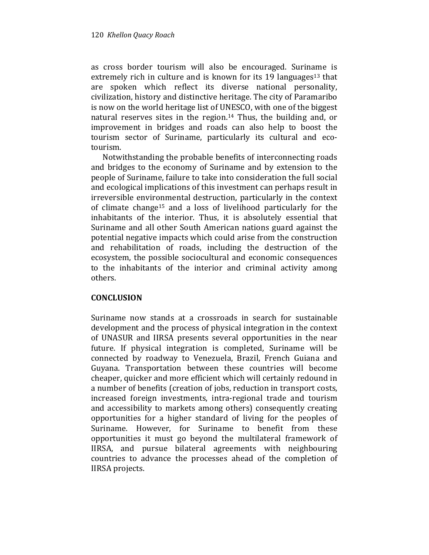as cross border tourism will also be encouraged. Suriname is extremely rich in culture and is known for its 19 languages<sup>13</sup> that are spoken which reflect its diverse national personality, civilization, history and distinctive heritage. The city of Paramaribo is now on the world heritage list of UNESCO, with one of the biggest natural reserves sites in the region.14 Thus, the building and, or improvement in bridges and roads can also help to boost the tourism sector of Suriname, particularly its cultural and ecotourism.

Notwithstanding the probable benefits of interconnecting roads and bridges to the economy of Suriname and by extension to the people of Suriname, failure to take into consideration the full social and ecological implications of this investment can perhaps result in irreversible environmental destruction, particularly in the context of climate change15 and a loss of livelihood particularly for the inhabitants of the interior. Thus, it is absolutely essential that Suriname and all other South American nations guard against the potential negative impacts which could arise from the construction and rehabilitation of roads, including the destruction of the ecosystem, the possible sociocultural and economic consequences to the inhabitants of the interior and criminal activity among others.

## **CONCLUSION**

Suriname now stands at a crossroads in search for sustainable development and the process of physical integration in the context of UNASUR and IIRSA presents several opportunities in the near future. If physical integration is completed, Suriname will be connected by roadway to Venezuela, Brazil, French Guiana and Guyana. Transportation between these countries will become cheaper, quicker and more efficient which will certainly redound in a number of benefits (creation of jobs, reduction in transport costs, increased foreign investments, intra-regional trade and tourism and accessibility to markets among others) consequently creating opportunities for a higher standard of living for the peoples of Suriname. However, for Suriname to benefit from these opportunities it must go beyond the multilateral framework of IIRSA, and pursue bilateral agreements with neighbouring countries to advance the processes ahead of the completion of IIRSA projects.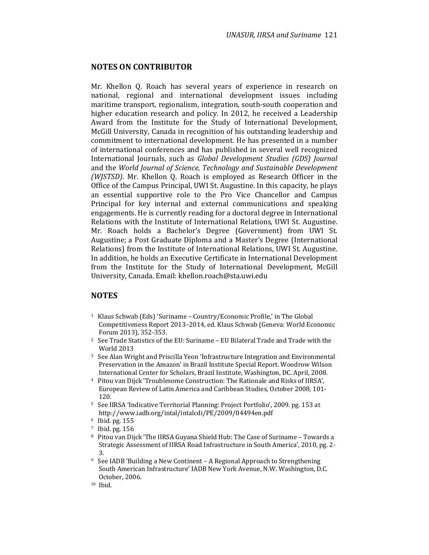#### NOTES ON CONTRIBUTOR

Mr. Khellon Q. Roach has several years of experience in research on national, regional and international development issues including maritime transport, regionalism, integration, south-south cooperation and higher education research and policy. In 2012, he received a Leadership Award from the Institute for the Study of International Development, McGill University, Canada in recognition of his outstanding leadership and commitment to international development. He has presented in a number of international conferences and has published in several well recognized International Journals, such as Global Development Studies (GDS) Journal and the World Journal of Science, Technology and Sustainable Development (WJSTSD). Mr. Khellon Q. Roach is employed as Research Officer in the Office of the Campus Principal, UWI St. Augustine. In this capacity, he plays an essential supportive role to the Pro Vice Chancellor and Campus Principal for key internal and external communications and speaking engagements. He is currently reading for a doctoral degree in International Relations with the Institute of International Relations, UWI St. Augustine. Mr. Roach holds a Bachelor's Degree (Government) from UWI St. Augustine; a Post Graduate Diploma and a Master's Degree (International Relations) from the Institute of International Relations, UWI St. Augustine. In addition, he holds an Executive Certificate in International Development from the Institute for the Study of International Development, McGill University, Canada. Email: khellon.roach@sta.uwi.edu

#### NOTES

- <sup>1</sup> Klaus Schwab (Eds) 'Suriname Country/Economic Profile,' in The Global Competitiveness Report 2013–2014, ed. Klaus Schwab (Geneva: World Economic Forum 2013), 352-353.
- <sup>2</sup> See Trade Statistics of the EU: Suriname EU Bilateral Trade and Trade with the World 2013
- <sup>3</sup> See Alan Wright and Priscilla Yeon 'Infrastructure Integration and Environmental Preservation in the Amazon' in Brazil Institute Special Report. Woodrow Wilson International Center for Scholars, Brazil Institute, Washington, DC. April, 2008.
- <sup>4</sup> Pitou van Dijck 'Troublesome Construction: The Rationale and Risks of IIRSA', European Review of Latin America and Caribbean Studies, October 2008, 101- 120.
- <sup>5</sup> See IIRSA 'Indicative Territorial Planning: Project Portfolio', 2009. pg. 153 at http://www.iadb.org/intal/intalcdi/PE/2009/04494en.pdf
- <sup>6</sup> Ibid. pg. 155
- <sup>7</sup> Ibid. pg. 156
- <sup>8</sup> Pitou van Dijck 'The IIRSA Guyana Shield Hub: The Case of Suriname Towards a Strategic Assessment of IIRSA Road Infrastructure in South America', 2010, pg. 2- 3.
- <sup>9</sup> See IADB 'Building a New Continent A Regional Approach to Strengthening South American Infrastructure' IADB New York Avenue, N.W. Washington, D.C. October, 2006.
- 10 Ibid.